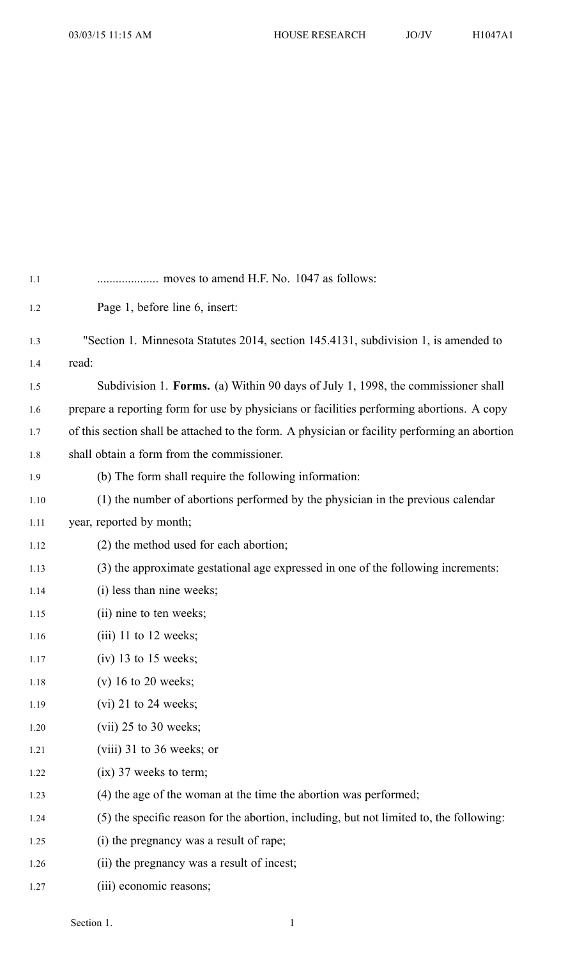| 1.1  |                                                                                               |
|------|-----------------------------------------------------------------------------------------------|
| 1.2  | Page 1, before line 6, insert:                                                                |
| 1.3  | "Section 1. Minnesota Statutes 2014, section 145.4131, subdivision 1, is amended to           |
| 1.4  | read:                                                                                         |
| 1.5  | Subdivision 1. Forms. (a) Within 90 days of July 1, 1998, the commissioner shall              |
| 1.6  | prepare a reporting form for use by physicians or facilities performing abortions. A copy     |
| 1.7  | of this section shall be attached to the form. A physician or facility performing an abortion |
| 1.8  | shall obtain a form from the commissioner.                                                    |
| 1.9  | (b) The form shall require the following information:                                         |
| 1.10 | (1) the number of abortions performed by the physician in the previous calendar               |
| 1.11 | year, reported by month;                                                                      |
| 1.12 | (2) the method used for each abortion;                                                        |
| 1.13 | (3) the approximate gestational age expressed in one of the following increments:             |
| 1.14 | (i) less than nine weeks;                                                                     |
| 1.15 | (ii) nine to ten weeks;                                                                       |
| 1.16 | $(iii)$ 11 to 12 weeks;                                                                       |
| 1.17 | $(iv)$ 13 to 15 weeks;                                                                        |
| 1.18 | $(v)$ 16 to 20 weeks;                                                                         |
| 1.19 | $(vi)$ 21 to 24 weeks;                                                                        |
| 1.20 | $(vii)$ 25 to 30 weeks;                                                                       |
| 1.21 | $(viii)$ 31 to 36 weeks; or                                                                   |
| 1.22 | $(ix)$ 37 weeks to term;                                                                      |
| 1.23 | (4) the age of the woman at the time the abortion was performed;                              |
| 1.24 | (5) the specific reason for the abortion, including, but not limited to, the following:       |
| 1.25 | (i) the pregnancy was a result of rape;                                                       |
| 1.26 | (ii) the pregnancy was a result of incest;                                                    |
| 1.27 | (iii) economic reasons;                                                                       |